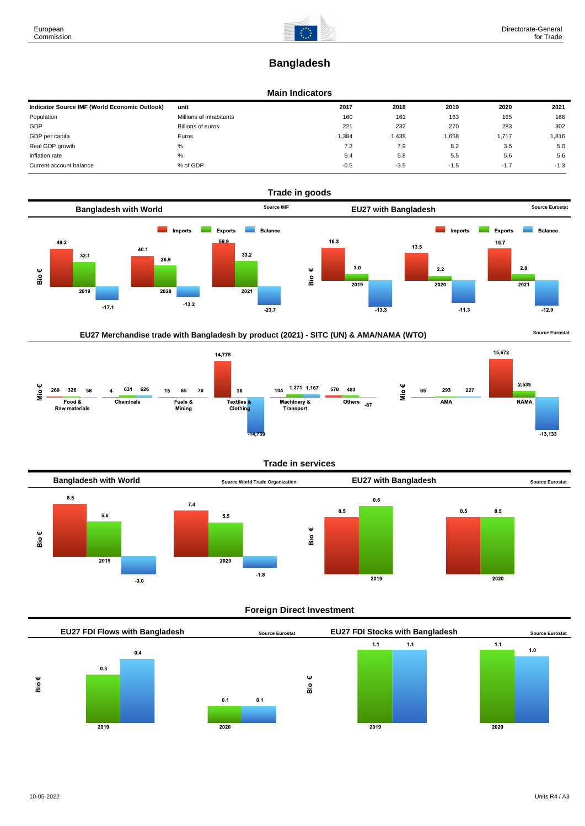# **Bangladesh**

### **Main Indicators**

| Indicator Source IMF (World Economic Outlook) | unit                    | 2017   | 2018   | 2019   | 2020   | 2021   |
|-----------------------------------------------|-------------------------|--------|--------|--------|--------|--------|
| Population                                    | Millions of inhabitants | 160    | 161    | 163    | 165    | 166    |
| GDP                                           | Billions of euros       | 221    | 232    | 270    | 283    | 302    |
| GDP per capita                                | Euros                   | 384,   | .438   | 1,658  | 1,717  | 1,816  |
| Real GDP growth                               | %                       | 7.3    | 7.9    | 8.2    | 3.5    | 5.0    |
| Inflation rate                                | %                       | 5.4    | 5.8    | 5.5    | 5.6    | 5.6    |
| Current account balance                       | % of GDP                | $-0.5$ | $-3.5$ | $-1.5$ | $-1.7$ | $-1.3$ |







# **Trade in services**



# **Foreign Direct Investment**